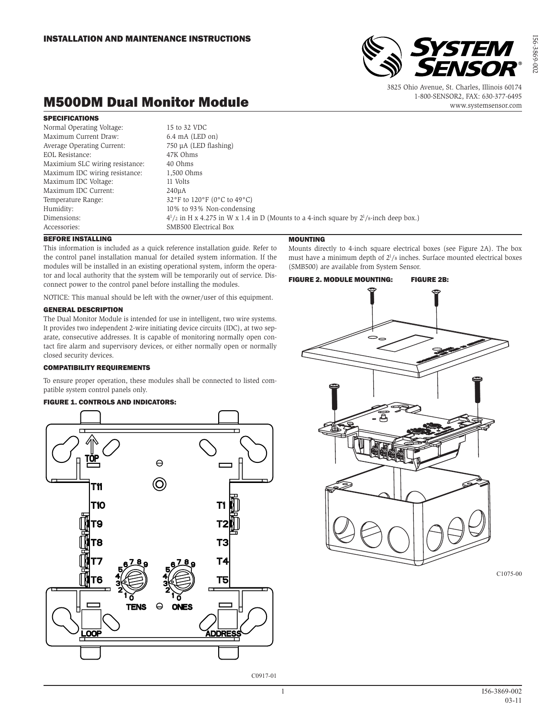

3825 Ohio Avenue, St. Charles, Illinois 60174 1-800-SENSOR2, FAX: 630-377-6495 www.systemsensor.com

# M500DM Dual Monitor Module

## SPECIFICATIONS

| Normal Operating Voltage:       | 15 to 32 VDC                                                                                    |
|---------------------------------|-------------------------------------------------------------------------------------------------|
| Maximum Current Draw:           | $6.4 \text{ mA}$ (LED on)                                                                       |
| Average Operating Current:      | 750 µA (LED flashing)                                                                           |
| EOL Resistance:                 | 47K Ohms                                                                                        |
| Maximium SLC wiring resistance: | 40 Ohms                                                                                         |
| Maximum IDC wiring resistance:  | 1,500 Ohms                                                                                      |
| Maximum IDC Voltage:            | 11 Volts                                                                                        |
| Maximum IDC Current:            | 240 <sub>u</sub> A                                                                              |
| Temperature Range:              | 32°F to 120°F (0°C to 49°C)                                                                     |
| Humidity:                       | 10% to 93% Non-condensing                                                                       |
| Dimensions:                     | $4^{1}/2$ in H x 4.275 in W x 1.4 in D (Mounts to a 4-inch square by $2^{1}/8$ -inch deep box.) |
| Accessories:                    | SMB500 Electrical Box                                                                           |
|                                 |                                                                                                 |

# BEFORE INSTALLING

This information is included as a quick reference installation guide. Refer to the control panel installation manual for detailed system information. If the modules will be installed in an existing operational system, inform the operator and local authority that the system will be temporarily out of service. Disconnect power to the control panel before installing the modules.

NOTICE: This manual should be left with the owner/user of this equipment.

## GENERAL DESCRIPTION

The Dual Monitor Module is intended for use in intelligent, two wire systems. It provides two independent 2-wire initiating device circuits (IDC), at two separate, consecutive addresses. It is capable of monitoring normally open contact fire alarm and supervisory devices, or either normally open or normally closed security devices.

## COMPATIBILITY REQUIREMENTS

To ensure proper operation, these modules shall be connected to listed compatible system control panels only.

## FIGURE 1. CONTROLS AND INDICATORS:



## **MOUNTING**

Mounts directly to 4-inch square electrical boxes (see Figure 2A). The box must have a minimum depth of  $2^{1}/s$  inches. Surface mounted electrical boxes (SMB500) are available from System Sensor.



C1075-00